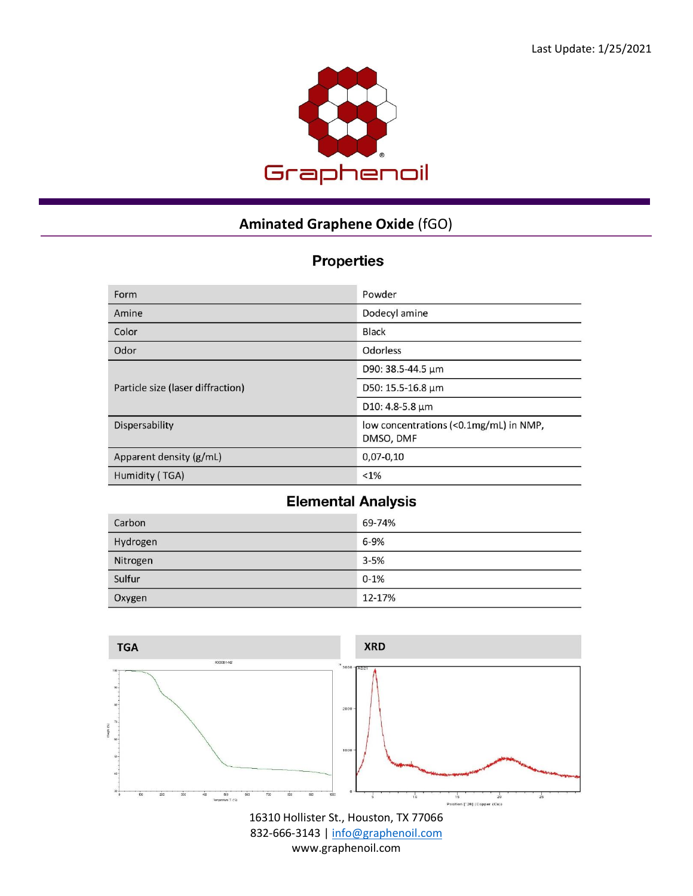

## **Aminated Graphene Oxide** (fGO)

## **Properties**

| Form                              | Powder                                              |
|-----------------------------------|-----------------------------------------------------|
| Amine                             | Dodecyl amine                                       |
| Color                             | <b>Black</b>                                        |
| Odor                              | Odorless                                            |
| Particle size (laser diffraction) | D90: 38.5-44.5 um                                   |
|                                   | D50: 15.5-16.8 µm                                   |
|                                   | D10: 4.8-5.8 µm                                     |
| Dispersability                    | low concentrations (<0.1mg/mL) in NMP,<br>DMSO, DMF |
| Apparent density (g/mL)           | $0,07-0,10$                                         |
| Humidity (TGA)                    | $< 1\%$                                             |

## **Elemental Analysis**

| Carbon   | 69-74%   |
|----------|----------|
| Hydrogen | $6 - 9%$ |
| Nitrogen | $3 - 5%$ |
| Sulfur   | $0 - 1%$ |
| Oxygen   | 12-17%   |



16310 Hollister St., Houston, TX 77066 832-666-3143 [| info@graphenoil.com](mailto:info@graphenoil.com) www.graphenoil.com